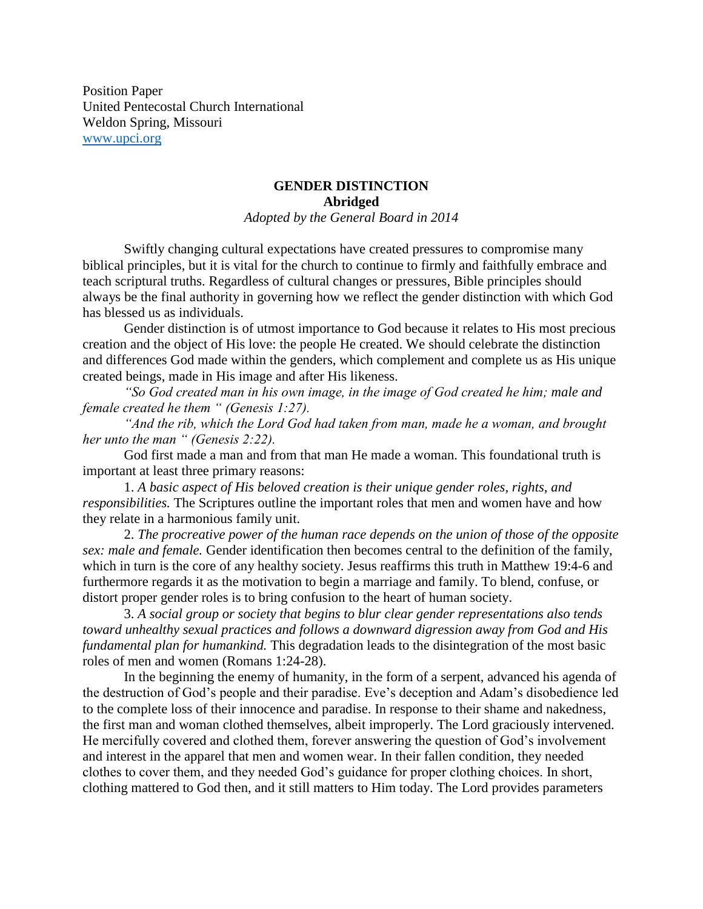Position Paper United Pentecostal Church International Weldon Spring, Missouri [www.upci.org](http://www.upci.org/)

## **GENDER DISTINCTION Abridged**

*Adopted by the General Board in 2014*

Swiftly changing cultural expectations have created pressures to compromise many biblical principles, but it is vital for the church to continue to firmly and faithfully embrace and teach scriptural truths. Regardless of cultural changes or pressures, Bible principles should always be the final authority in governing how we reflect the gender distinction with which God has blessed us as individuals.

Gender distinction is of utmost importance to God because it relates to His most precious creation and the object of His love: the people He created. We should celebrate the distinction and differences God made within the genders, which complement and complete us as His unique created beings, made in His image and after His likeness.

*"So God created man in his own image, in the image of God created he him; male and female created he them " (Genesis 1:27).*

*"And the rib, which the Lord God had taken from man, made he a woman, and brought her unto the man " (Genesis 2:22).*

God first made a man and from that man He made a woman. This foundational truth is important at least three primary reasons:

1. *A basic aspect of His beloved creation is their unique gender roles, rights, and responsibilities.* The Scriptures outline the important roles that men and women have and how they relate in a harmonious family unit.

2. *The procreative power of the human race depends on the union of those of the opposite sex: male and female.* Gender identification then becomes central to the definition of the family, which in turn is the core of any healthy society. Jesus reaffirms this truth in Matthew 19:4-6 and furthermore regards it as the motivation to begin a marriage and family. To blend, confuse, or distort proper gender roles is to bring confusion to the heart of human society.

3. *A social group or society that begins to blur clear gender representations also tends toward unhealthy sexual practices and follows a downward digression away from God and His fundamental plan for humankind.* This degradation leads to the disintegration of the most basic roles of men and women (Romans 1:24-28).

In the beginning the enemy of humanity, in the form of a serpent, advanced his agenda of the destruction of God's people and their paradise. Eve's deception and Adam's disobedience led to the complete loss of their innocence and paradise. In response to their shame and nakedness, the first man and woman clothed themselves, albeit improperly. The Lord graciously intervened. He mercifully covered and clothed them, forever answering the question of God's involvement and interest in the apparel that men and women wear. In their fallen condition, they needed clothes to cover them, and they needed God's guidance for proper clothing choices. In short, clothing mattered to God then, and it still matters to Him today. The Lord provides parameters